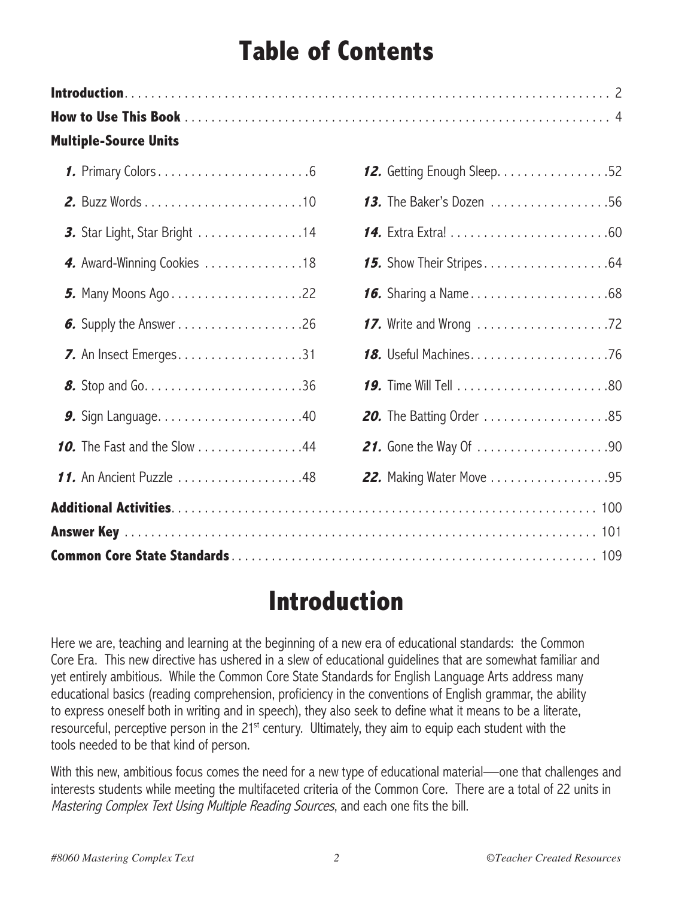# **Table of Contents**

| <b>Multiple-Source Units</b>                                       |                                                                        |
|--------------------------------------------------------------------|------------------------------------------------------------------------|
|                                                                    | 12. Getting Enough Sleep. 52                                           |
|                                                                    | <b>13.</b> The Baker's Dozen 56                                        |
| 3. Star Light, Star Bright $\ldots \ldots \ldots \ldots \ldots 14$ |                                                                        |
| 4. Award-Winning Cookies 18                                        |                                                                        |
| <b>5.</b> Many Moons Ago22                                         | <b>16.</b> Sharing a Name68                                            |
|                                                                    | 17. Write and Wrong $\ldots \ldots \ldots \ldots \ldots \ldots \ldots$ |
| 7. An Insect Emerges31                                             |                                                                        |
|                                                                    |                                                                        |
|                                                                    |                                                                        |
| 10. The Fast and the Slow 44                                       | <b>21.</b> Gone the Way Of 90                                          |
| 11. An Ancient Puzzle 48                                           | 22. Making Water Move 95                                               |
|                                                                    |                                                                        |
|                                                                    |                                                                        |
|                                                                    |                                                                        |

## **Introduction**

Here we are, teaching and learning at the beginning of a new era of educational standards: the Common Core Era. This new directive has ushered in a slew of educational guidelines that are somewhat familiar and yet entirely ambitious. While the Common Core State Standards for English Language Arts address many educational basics (reading comprehension, proficiency in the conventions of English grammar, the ability to express oneself both in writing and in speech), they also seek to define what it means to be a literate, resourceful, perceptive person in the 21<sup>st</sup> century. Ultimately, they aim to equip each student with the tools needed to be that kind of person.

With this new, ambitious focus comes the need for a new type of educational material—one that challenges and interests students while meeting the multifaceted criteria of the Common Core. There are a total of 22 units in Mastering Complex Text Using Multiple Reading Sources, and each one fits the bill.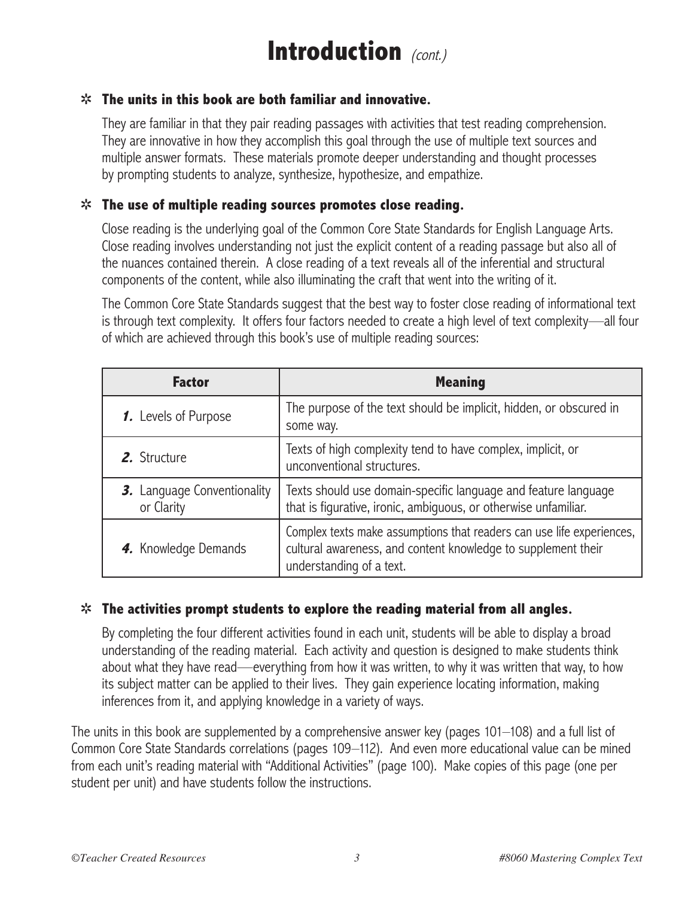#### $\dot{x}$  The units in this book are both familiar and innovative.

They are familiar in that they pair reading passages with activities that test reading comprehension. They are innovative in how they accomplish this goal through the use of multiple text sources and multiple answer formats. These materials promote deeper understanding and thought processes by prompting students to analyze, synthesize, hypothesize, and empathize.

#### **K** The use of multiple reading sources promotes close reading.

Close reading is the underlying goal of the Common Core State Standards for English Language Arts. Close reading involves understanding not just the explicit content of a reading passage but also all of the nuances contained therein. A close reading of a text reveals all of the inferential and structural components of the content, while also illuminating the craft that went into the writing of it.

The Common Core State Standards suggest that the best way to foster close reading of informational text is through text complexity. It offers four factors needed to create a high level of text complexity—all four of which are achieved through this book's use of multiple reading sources:

| <b>Factor</b>                                    | <b>Meaning</b>                                                                                                                                                     |
|--------------------------------------------------|--------------------------------------------------------------------------------------------------------------------------------------------------------------------|
| 1. Levels of Purpose                             | The purpose of the text should be implicit, hidden, or obscured in<br>some way.                                                                                    |
| 2. Structure                                     | Texts of high complexity tend to have complex, implicit, or<br>unconventional structures.                                                                          |
| <b>3.</b> Language Conventionality<br>or Clarity | Texts should use domain-specific language and feature language<br>that is figurative, ironic, ambiguous, or otherwise unfamiliar.                                  |
| 4. Knowledge Demands                             | Complex texts make assumptions that readers can use life experiences,<br>cultural awareness, and content knowledge to supplement their<br>understanding of a text. |

#### **EXALUA The activities prompt students to explore the reading material from all angles.**

By completing the four different activities found in each unit, students will be able to display a broad understanding of the reading material. Each activity and question is designed to make students think about what they have read—everything from how it was written, to why it was written that way, to how its subject matter can be applied to their lives. They gain experience locating information, making inferences from it, and applying knowledge in a variety of ways.

The units in this book are supplemented by a comprehensive answer key (pages 101–108) and a full list of Common Core State Standards correlations (pages 109–112). And even more educational value can be mined from each unit's reading material with "Additional Activities" (page 100). Make copies of this page (one per student per unit) and have students follow the instructions.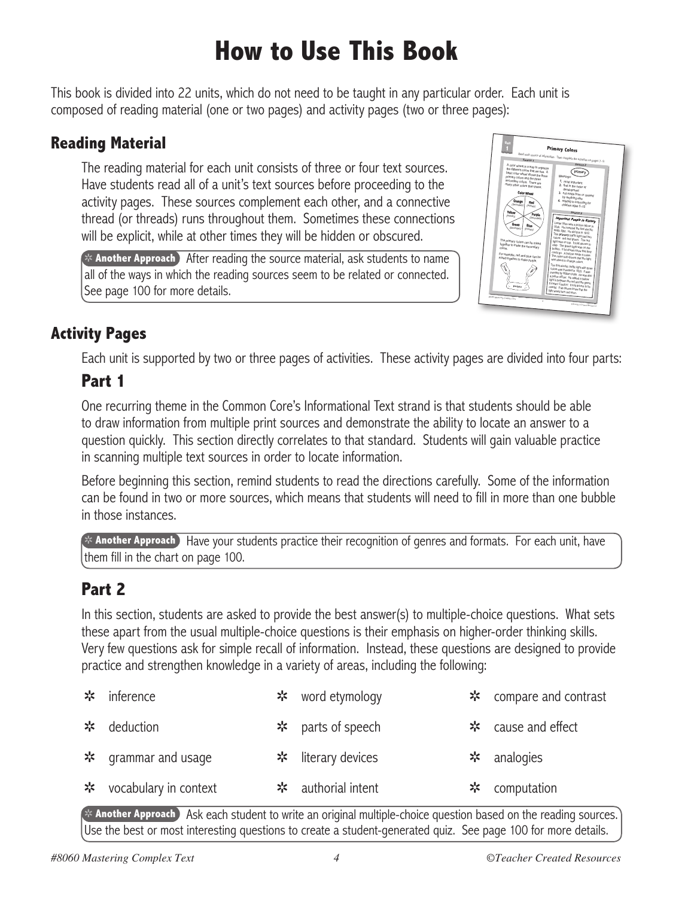# **How to Use This Book**

This book is divided into 22 units, which do not need to be taught in any particular order. Each unit is composed of reading material (one or two pages) and activity pages (two or three pages):

### **Reading Material**

The reading material for each unit consists of three or four text sources. Have students read all of a unit's text sources before proceeding to the activity pages. These sources complement each other, and a connective thread (or threads) runs throughout them. Sometimes these connections will be explicit, while at other times they will be hidden or obscured.

R **Another Approach** After reading the source material, ask students to name all of the ways in which the reading sources seem to be related or connected. See page 100 for more details.



### **Activity Pages**

Each unit is supported by two or three pages of activities. These activity pages are divided into four parts:

### **Part 1**

One recurring theme in the Common Core's Informational Text strand is that students should be able to draw information from multiple print sources and demonstrate the ability to locate an answer to a question quickly. This section directly correlates to that standard. Students will gain valuable practice in scanning multiple text sources in order to locate information.

Before beginning this section, remind students to read the directions carefully. Some of the information can be found in two or more sources, which means that students will need to fill in more than one bubble in those instances.

R **Another Approach** Have your students practice their recognition of genres and formats. For each unit, have them fill in the chart on page 100.

### **Part 2**

In this section, students are asked to provide the best answer(s) to multiple-choice questions. What sets these apart from the usual multiple-choice questions is their emphasis on higher-order thinking skills. Very few questions ask for simple recall of information. Instead, these questions are designed to provide practice and strengthen knowledge in a variety of areas, including the following:

| 뽂  | inference                  | ** word etymology          | * compare and contrast |
|----|----------------------------|----------------------------|------------------------|
|    | * deduction                | * parts of speech          | ** cause and effect    |
|    | <b>*</b> grammar and usage | * literary devices         | * analogies            |
| ≭. | vocabulary in context      | $\dot{x}$ authorial intent | computation            |

R **Another Approach** Ask each student to write an original multiple-choice question based on the reading sources. Use the best or most interesting questions to create a student-generated quiz. See page 100 for more details.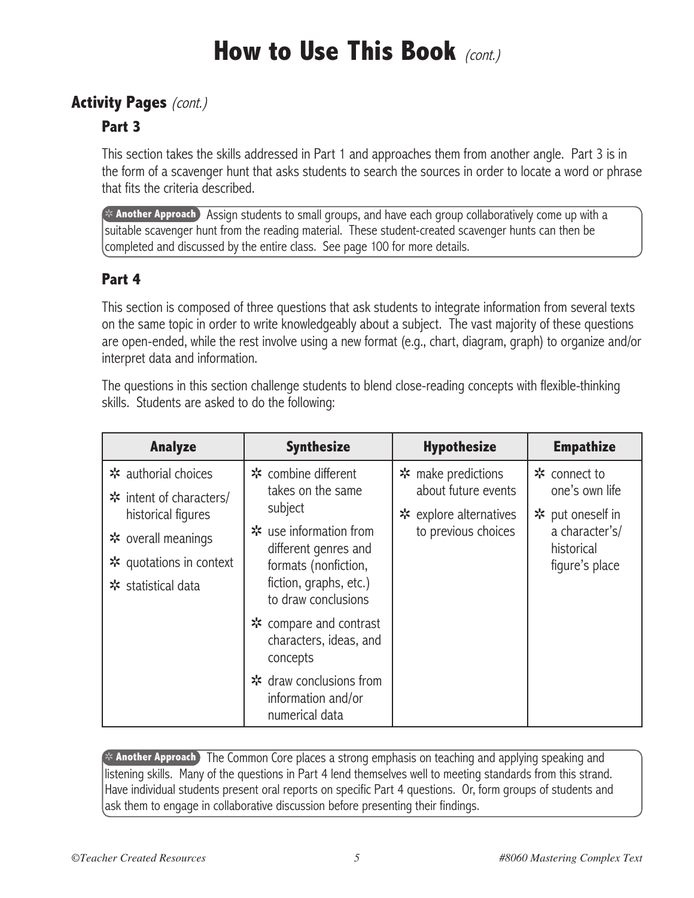# **How to Use This Book** (cont.)

### **Activity Pages** (cont.)

#### **Part 3**

This section takes the skills addressed in Part 1 and approaches them from another angle. Part 3 is in the form of a scavenger hunt that asks students to search the sources in order to locate a word or phrase that fits the criteria described.

R **Another Approach** Assign students to small groups, and have each group collaboratively come up with a suitable scavenger hunt from the reading material. These student-created scavenger hunts can then be completed and discussed by the entire class. See page 100 for more details.

#### **Part 4**

This section is composed of three questions that ask students to integrate information from several texts on the same topic in order to write knowledgeably about a subject. The vast majority of these questions are open-ended, while the rest involve using a new format (e.g., chart, diagram, graph) to organize and/or interpret data and information.

The questions in this section challenge students to blend close-reading concepts with flexible-thinking skills. Students are asked to do the following:

| <b>Analyze</b>                                 | <b>Synthesize</b>                                                   | <b>Hypothesize</b>                        | <b>Empathize</b>               |
|------------------------------------------------|---------------------------------------------------------------------|-------------------------------------------|--------------------------------|
| * authorial choices                            | * combine different<br>takes on the same                            | * make predictions<br>about future events | * connect to<br>one's own life |
| ** intent of characters/<br>historical figures | subject                                                             | <b>*</b> explore alternatives             | * put oneself in               |
| * overall meanings                             | $\cdot$ use information from<br>different genres and                | to previous choices                       | a character's/<br>historical   |
| * quotations in context                        | formats (nonfiction,                                                |                                           | figure's place                 |
| * statistical data                             | fiction, graphs, etc.)<br>to draw conclusions                       |                                           |                                |
|                                                | <b>*</b> compare and contrast<br>characters, ideas, and<br>concepts |                                           |                                |
|                                                | * draw conclusions from<br>information and/or<br>numerical data     |                                           |                                |

R **Another Approach** The Common Core places a strong emphasis on teaching and applying speaking and listening skills. Many of the questions in Part 4 lend themselves well to meeting standards from this strand. Have individual students present oral reports on specific Part 4 questions. Or, form groups of students and ask them to engage in collaborative discussion before presenting their findings.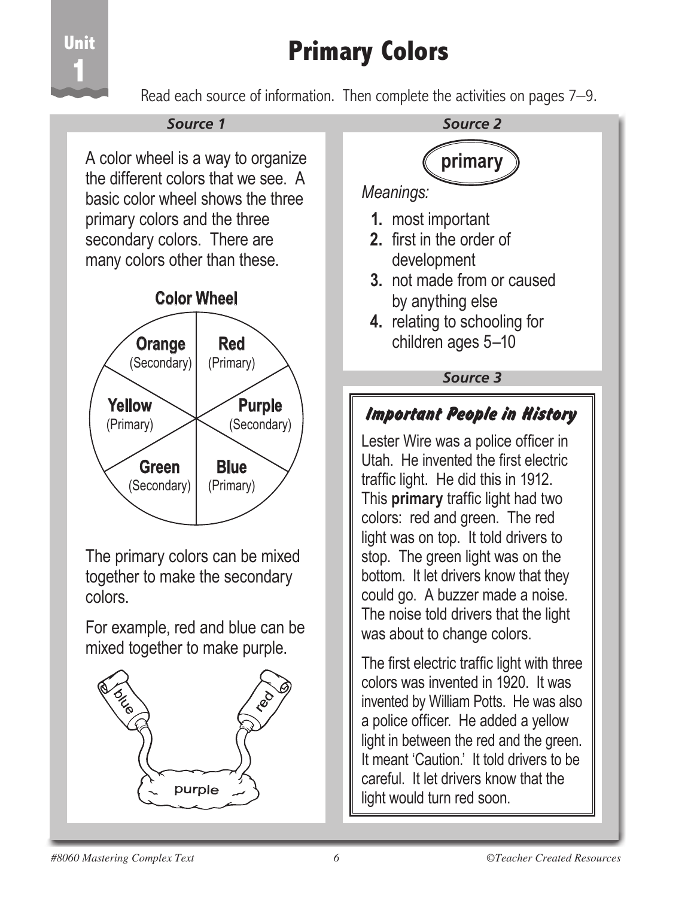# **Primary Colors**

**Unit 1**

Read each source of information. Then complete the activities on pages 7–9.

*Source 1*

A color wheel is a way to organize the different colors that we see. A basic color wheel shows the three primary colors and the three secondary colors. There are many colors other than these.



The primary colors can be mixed together to make the secondary colors.

For example, red and blue can be mixed together to make purple.



*Source 2* **primary**

## *Meanings:*

- **1.** most important
- **2.** first in the order of development
- **3.** not made from or caused by anything else
- **4.** relating to schooling for children ages 5–10

### *Source 3*

## **Important People in History**

Lester Wire was a police officer in Utah. He invented the first electric traffic light. He did this in 1912. This **primary** traffic light had two colors: red and green. The red light was on top. It told drivers to stop. The green light was on the bottom. It let drivers know that they could go. A buzzer made a noise. The noise told drivers that the light was about to change colors.

The first electric traffic light with three colors was invented in 1920. It was invented by William Potts. He was also a police officer. He added a yellow light in between the red and the green. It meant 'Caution.' It told drivers to be careful. It let drivers know that the light would turn red soon.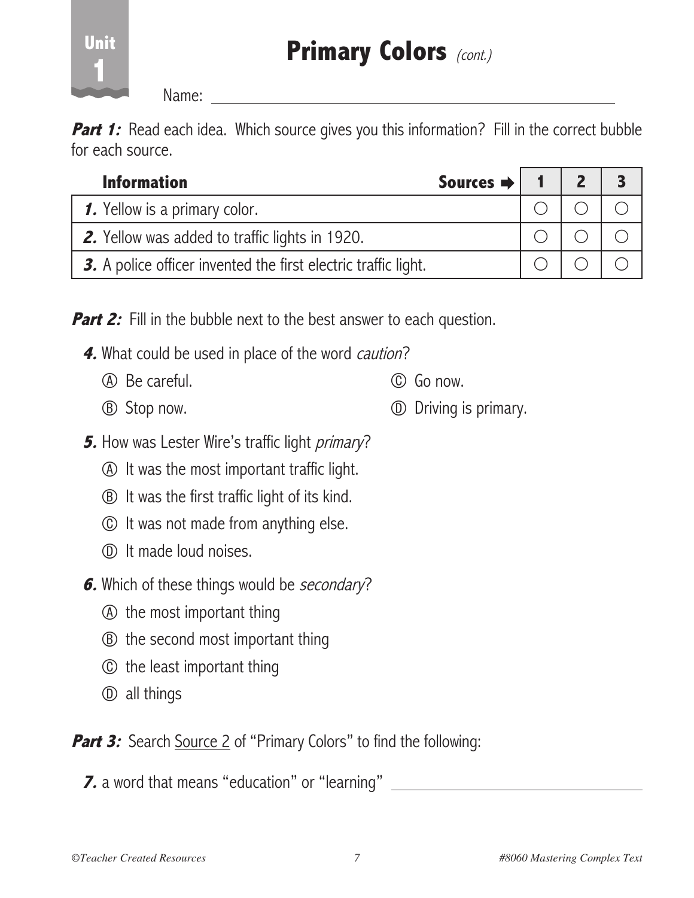



**Part 1:** Read each idea. Which source gives you this information? Fill in the correct bubble for each source.

| Sources $\Rightarrow$<br><b>Information</b>                           |  |  |
|-----------------------------------------------------------------------|--|--|
| 1. Yellow is a primary color.                                         |  |  |
| 2. Yellow was added to traffic lights in 1920.                        |  |  |
| <b>3.</b> A police officer invented the first electric traffic light. |  |  |

**Part 2:** Fill in the bubble next to the best answer to each question.

- **4.** What could be used in place of the word *caution*?
	- A Be careful.
	- B Stop now.

 D Driving is primary.

 C Go now.

- **5.** How was Lester Wire's traffic light *primary*?
	- A It was the most important traffic light.
	- B It was the first traffic light of its kind.
	- C It was not made from anything else.
	- D It made loud noises.
- **6.** Which of these things would be *secondary*?
	- A the most important thing
	- B the second most important thing
	- C the least important thing
	- D all things

**Part 3:** Search Source 2 of "Primary Colors" to find the following:

**7.** a word that means "education" or "learning" \_\_\_\_\_\_\_\_\_\_\_\_\_\_\_\_\_\_\_\_\_\_\_\_\_\_\_\_\_\_\_\_\_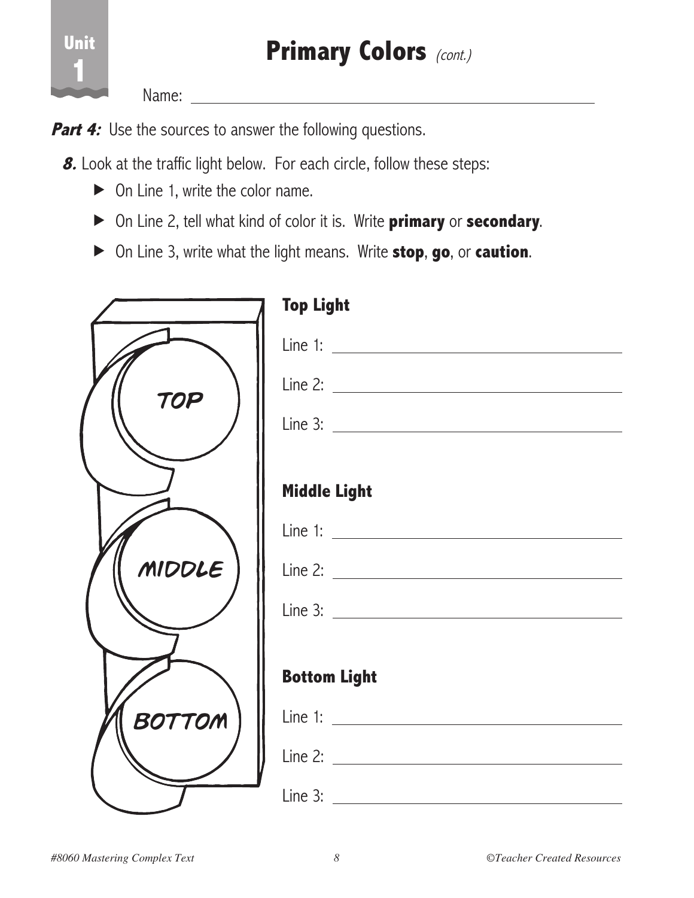# **Primary Colors** (cont.)

Name:

**Unit** 

**1**

**Part 4:** Use the sources to answer the following questions.

**8.** Look at the traffic light below. For each circle, follow these steps:

- $\triangleright$  On Line 1, write the color name.
- On Line 2, tell what kind of color it is. Write **primary** or **secondary**.
- On Line 3, write what the light means. Write **stop**, **go**, or **caution**.

|               | <b>Top Light</b>    |
|---------------|---------------------|
|               |                     |
| TOP           | Line 2:             |
|               |                     |
|               |                     |
|               | <b>Middle Light</b> |
|               |                     |
| MIDDLE        |                     |
|               | Line 3:             |
|               |                     |
|               | <b>Bottom Light</b> |
| <b>BOTTOM</b> |                     |
|               |                     |
|               |                     |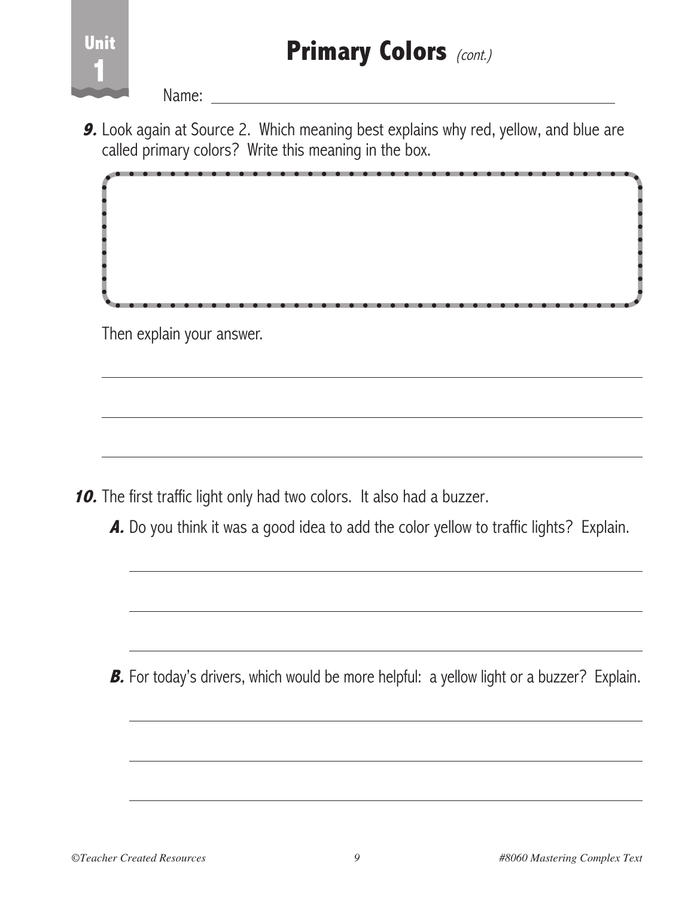

**9.** Look again at Source 2. Which meaning best explains why red, yellow, and blue are called primary colors? Write this meaning in the box.

Then explain your answer.

**10.** The first traffic light only had two colors. It also had a buzzer.

**A.** Do you think it was a good idea to add the color yellow to traffic lights? Explain.

**B.** For today's drivers, which would be more helpful: a yellow light or a buzzer? Explain.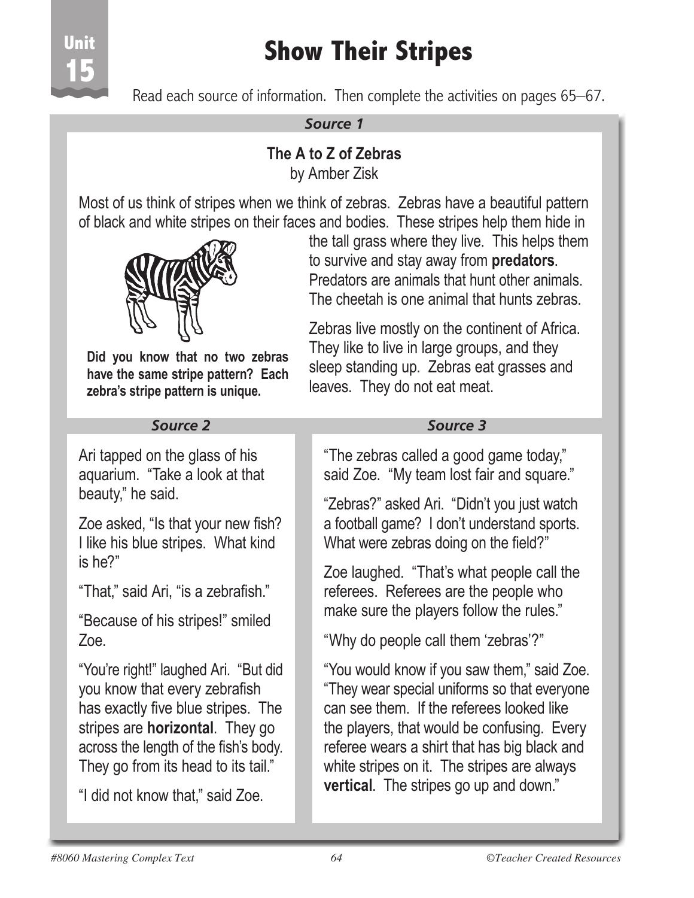



Read each source of information. Then complete the activities on pages 65–67.

#### *Source 1*

### **The A to Z of Zebras**

by Amber Zisk

Most of us think of stripes when we think of zebras. Zebras have a beautiful pattern of black and white stripes on their faces and bodies. These stripes help them hide in



**Did you know that no two zebras have the same stripe pattern? Each zebra's stripe pattern is unique.**

*Source 2*

Ari tapped on the glass of his aquarium. "Take a look at that beauty," he said.

Zoe asked, "Is that your new fish? I like his blue stripes. What kind is he?"

"That," said Ari, "is a zebrafish."

"Because of his stripes!" smiled Zoe.

"You're right!" laughed Ari. "But did you know that every zebrafish has exactly five blue stripes. The stripes are **horizontal**. They go across the length of the fish's body. They go from its head to its tail."

"I did not know that," said Zoe.

the tall grass where they live. This helps them to survive and stay away from **predators**. Predators are animals that hunt other animals. The cheetah is one animal that hunts zebras.

Zebras live mostly on the continent of Africa. They like to live in large groups, and they sleep standing up. Zebras eat grasses and leaves. They do not eat meat.

#### *Source 3*

"The zebras called a good game today," said Zoe. "My team lost fair and square."

"Zebras?" asked Ari. "Didn't you just watch a football game? I don't understand sports. What were zebras doing on the field?"

Zoe laughed. "That's what people call the referees. Referees are the people who make sure the players follow the rules."

"Why do people call them 'zebras'?"

"You would know if you saw them," said Zoe. "They wear special uniforms so that everyone can see them. If the referees looked like the players, that would be confusing. Every referee wears a shirt that has big black and white stripes on it. The stripes are always **vertical**. The stripes go up and down."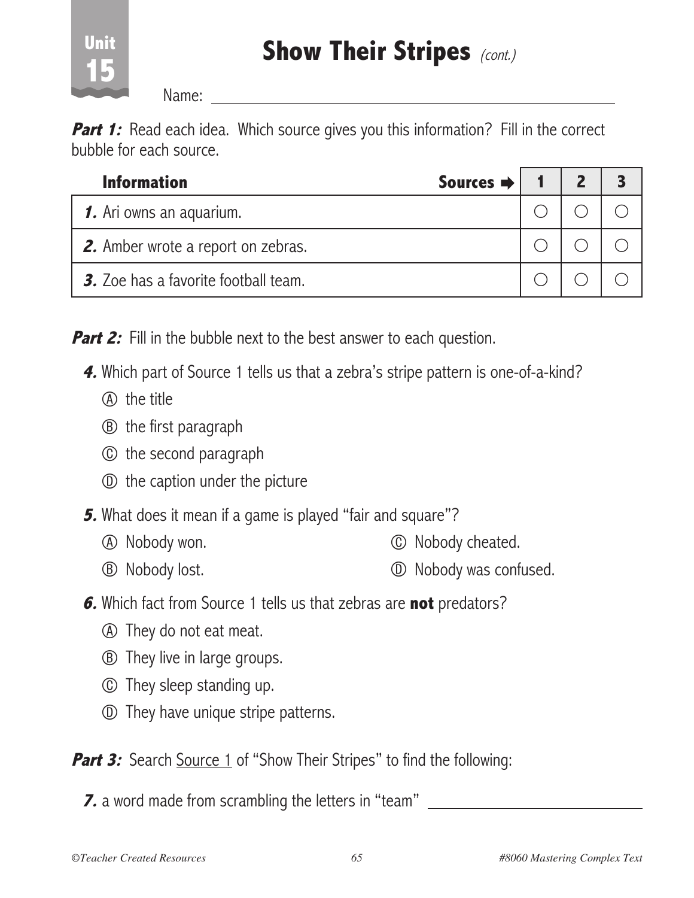

**Part 1:** Read each idea. Which source gives you this information? Fill in the correct bubble for each source.

| <b>Information</b><br>Sources $\Rightarrow$ |  |  |
|---------------------------------------------|--|--|
| 1. Ari owns an aquarium.                    |  |  |
| <b>2.</b> Amber wrote a report on zebras.   |  |  |
| 3. Zoe has a favorite football team.        |  |  |

**Part 2:** Fill in the bubble next to the best answer to each question.

- **4.** Which part of Source 1 tells us that a zebra's stripe pattern is one-of-a-kind?
	- A the title
	- B the first paragraph
	- C the second paragraph
	- D the caption under the picture
- **5.** What does it mean if a game is played "fair and square"?
	- A Nobody won. C Nobody cheated.
	- B Nobody lost. D Nobody was confused.
- **6.** Which fact from Source 1 tells us that zebras are **not** predators?
	- A They do not eat meat.
	- B They live in large groups.
	- C They sleep standing up.
	- D They have unique stripe patterns.

**Part 3:** Search Source 1 of "Show Their Stripes" to find the following:

**7.** a word made from scrambling the letters in "team" \_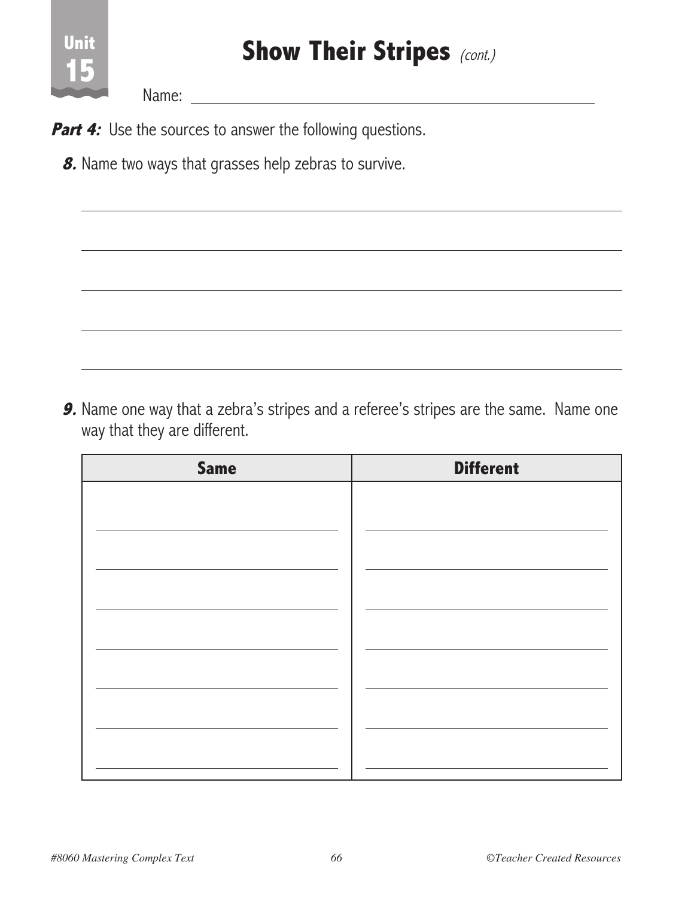

**Part 4:** Use the sources to answer the following questions.

**8.** Name two ways that grasses help zebras to survive.

**9.** Name one way that a zebra's stripes and a referee's stripes are the same. Name one way that they are different.

| <b>Same</b> | <b>Different</b> |
|-------------|------------------|
|             |                  |
|             |                  |
|             |                  |
|             |                  |
|             |                  |
|             |                  |
|             |                  |
|             |                  |
|             |                  |
|             |                  |
|             |                  |